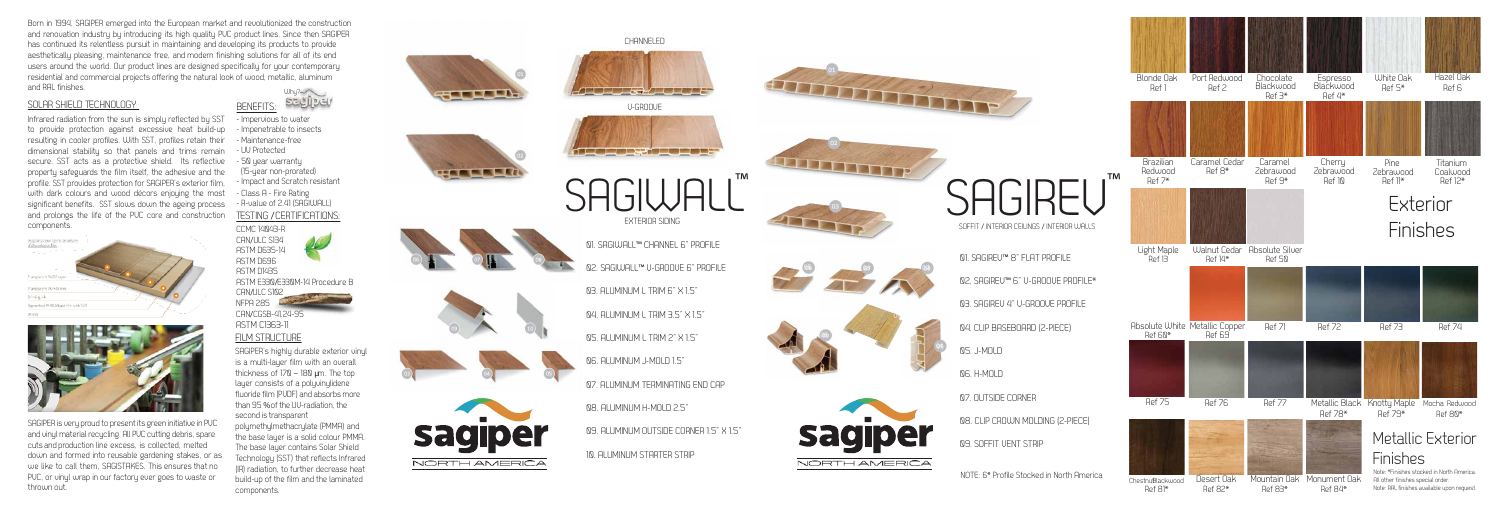## FILM STRUCTURE

SAGIPER's highly du rable exterior vinyl is a multi-layer film with an overall thickness of 170 – 180 **µ**m. The top layer consists of a polyvinylidene l fluoride film (PUDF) and absorbs more l i i l than 95 % of the UU-radiation, the i i second is transparent i

polymethylmethacrylate (PMMA) and l l the base layer is a solid colour PMMA. The base layer contains Solar Shield Technology (SST) that reflects Infrared (IR) radiation, to further decrease heat build-up of the film and the laminated components.



Why? Born in 1994, SAGIPER emerged into the Eu ropean market and revolutionized the construction and renovation industry by introducing its high quality PUC product lines. Since then SAGIPER has continued its relentless pursuit in maintaining and developing its products to provide aesthetically pleasing, maintenance free, and modern finishing solutions for all of its end users around the world. Our product lines are designed specifically for your contemporary residential and commercial projects offering the natural look of wood, metallic, aluminum and RAL finishes.

Infrared radiation from the sun is simply reflected by SST to provide protection against excessive heat build-up resulting in cooler profiles. With SST, profiles retain their dimensional stability so that panels and trims remain secure. SST acts as a protective shield. Its reflective property safeguards the film itself, the adhesive and the profile. SST provides protection for SAGIPER's exterior film, with dark colours and wood décors enjoying the most significant benefits. SST slows down the ageing p rocess and p rolongs the life of the PVC core and construction components.

| Diagramshowing the structure.<br>pliths exterior him |  |
|------------------------------------------------------|--|
|                                                      |  |
| TransportmeRVDF layer                                |  |
| Transparent@MARAhim                                  |  |
| Printing ink                                         |  |
| Rignerted RMMA base film with SST                    |  |
| Primer                                               |  |



SAGIPER is very proud to present its green initiative in PUC i i i i i and vinyl material recycling. All PUC cutting debris, spare i l i l i l l i cuts and production line excess, is collected, melted i down and formed into reusable ga rdening stakes, or as we like to call them, SAGISTAKES. This ensures that no PVC, or vinyl w rap in our factory e ver goes to waste or th rown out.

## SOLAR SHIELD TECHNOLOGY

BENEFITS:

- Impervious to water

لتعواليحة

- Impenet rable to insects
- Maintenance-free
- UV P rotected

- 50 year warranty
- (15-year non-p r o rated)
- Impact and Scratch resistant
- Class A Fire Rating
- R-value of 2.41 (SAGIWALL) TESTING /CERTIFICATIONS:

CCMC 14043-R Æ CAN /ULC S134 ASTM D635-14 ASTM D696 ASTM D1435 ASTM E330 /E330M-14 P rocedure B CAN /ULC S102 NFPA 285 CAN /CGSB-41.24-95 ASTM C1363-11



01. SAGIREV ™ 8" FLAT PROFILE 02. SAGIREV ™ 6" V-GROOVE PROFILE \* 03. SAGIREV 4" V-GROOVE PROFILE 04. CLIP BASEBOARD (2-PIECE) 05. J-MOLD 06. H-MOLD 07. OUTSIDE CORNER 08. CLIP CROWN MOLDING (2-PIECE) 09. SOFFIT VENT STRIP

SAGIREU

V-GROOVE <u>t de la partide de la p</u> SAGIWALL" EXTERIOR SIDING 01. SAGIWALL ™ CHANNEL 6" PROFILE 02. SAGIWALL ™ V-GROOVE 6" PROFILE 03. ALUMINUM L TRIM 6" X 1.5" 04. ALUMINUM L TRIM 3.5" X 1.5" 05. ALUMINUM L TRIM 2" X 1.5" 06. ALUMINUM J-MOLD 1.5" 07. ALUMINUM TERMINATING END CAP 08. ALUMINUM H-MOLD 2.5" 09. ALUMINUM OUTSIDE CORNER 1.5" X 1.5" 10. ALUMINUM STARTER STRIP

**CHANNELED** 

<u>The Contract of the Contract of the Contract of the Contract of the Contract of the Contract of the Contract of the Contract of the Contract of the Contract of the Contract of the Contract of the Contract of the Contract </u>





THE THEFT





SOFFIT / INTERIOR CEILINGS / INTERIOR WALLS

™

NOTE: 6 \* Profile Stocked in North America